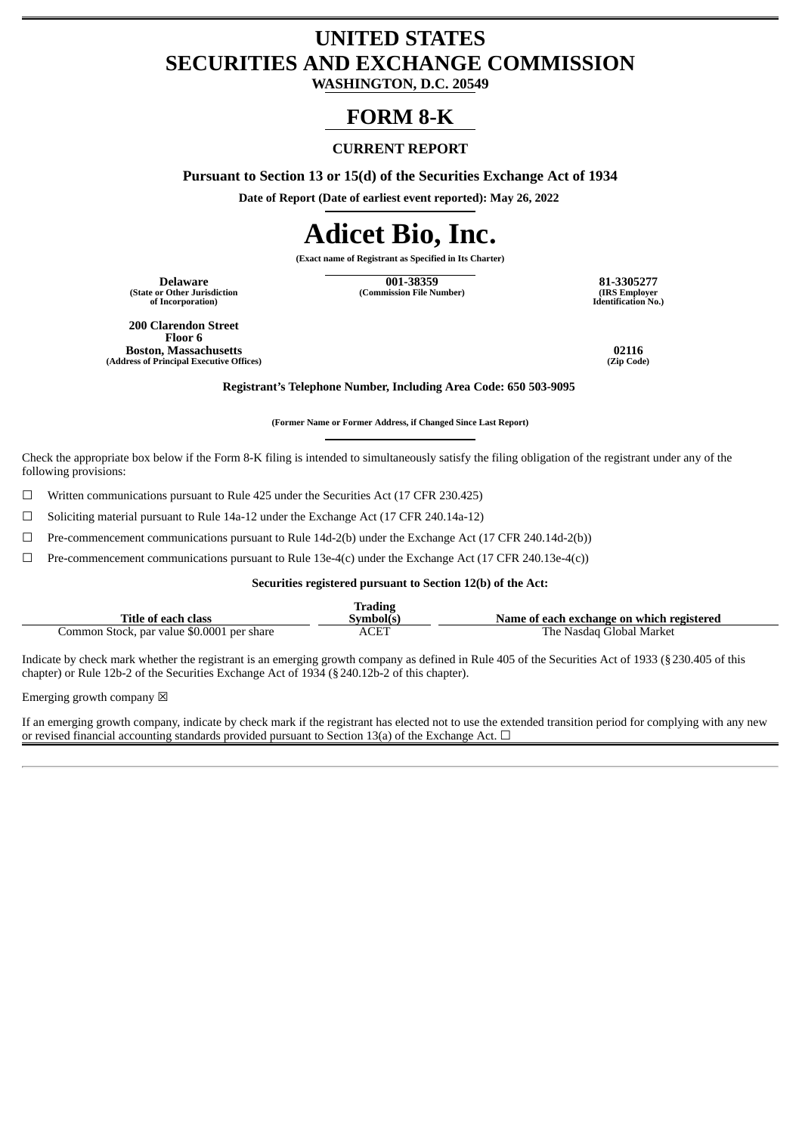# **UNITED STATES SECURITIES AND EXCHANGE COMMISSION**

**WASHINGTON, D.C. 20549**

## **FORM 8-K**

#### **CURRENT REPORT**

**Pursuant to Section 13 or 15(d) of the Securities Exchange Act of 1934**

**Date of Report (Date of earliest event reported): May 26, 2022**

# **Adicet Bio, Inc.**

**(Exact name of Registrant as Specified in Its Charter)**

**(State or Other Jurisdiction of Incorporation)**

**Delaware 001-38359 81-3305277 (Commission File Number) (IRS Employer**

**Identification No.)**

**200 Clarendon Street Floor 6 Boston, Massachusetts 02116 (Address of Principal Executive Offices)** 

**Registrant's Telephone Number, Including Area Code: 650 503-9095**

**(Former Name or Former Address, if Changed Since Last Report)**

Check the appropriate box below if the Form 8-K filing is intended to simultaneously satisfy the filing obligation of the registrant under any of the following provisions:

☐ Written communications pursuant to Rule 425 under the Securities Act (17 CFR 230.425)

☐ Soliciting material pursuant to Rule 14a-12 under the Exchange Act (17 CFR 240.14a-12)

☐ Pre-commencement communications pursuant to Rule 14d-2(b) under the Exchange Act (17 CFR 240.14d-2(b))

 $\Box$  Pre-commencement communications pursuant to Rule 13e-4(c) under the Exchange Act (17 CFR 240.13e-4(c))

#### **Securities registered pursuant to Section 12(b) of the Act:**

|                                            | Trading  |                                           |
|--------------------------------------------|----------|-------------------------------------------|
| <b>Title of each class</b>                 | Svmbol(s | Name of each exchange on which registered |
| Common Stock, par value \$0.0001 per share | ACET     | The Nasdag Global Market                  |

Indicate by check mark whether the registrant is an emerging growth company as defined in Rule 405 of the Securities Act of 1933 (§230.405 of this chapter) or Rule 12b-2 of the Securities Exchange Act of 1934 (§240.12b-2 of this chapter).

Emerging growth company  $\boxtimes$ 

If an emerging growth company, indicate by check mark if the registrant has elected not to use the extended transition period for complying with any new or revised financial accounting standards provided pursuant to Section 13(a) of the Exchange Act.  $\Box$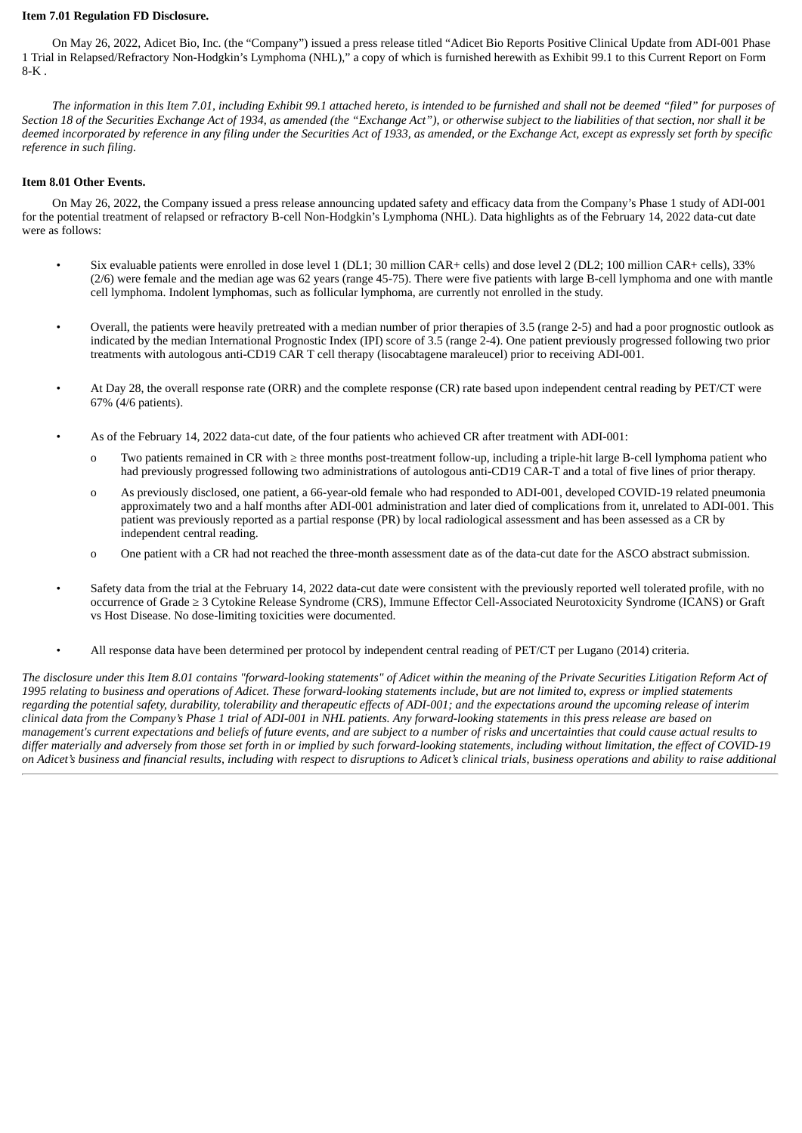#### **Item 7.01 Regulation FD Disclosure.**

On May 26, 2022, Adicet Bio, Inc. (the "Company") issued a press release titled "Adicet Bio Reports Positive Clinical Update from ADI-001 Phase 1 Trial in Relapsed/Refractory Non-Hodgkin's Lymphoma (NHL)," a copy of which is furnished herewith as Exhibit 99.1 to this Current Report on Form  $8-K$ 

The information in this Item 7.01, including Exhibit 99.1 attached hereto, is intended to be furnished and shall not be deemed "filed" for purposes of Section 18 of the Securities Exchange Act of 1934, as amended (the "Exchange Act"), or otherwise subject to the liabilities of that section, nor shall it be deemed incorporated by reference in any filing under the Securities Act of 1933, as amended, or the Exchange Act, except as expressly set forth by specific *reference in such filing.*

#### **Item 8.01 Other Events.**

On May 26, 2022, the Company issued a press release announcing updated safety and efficacy data from the Company's Phase 1 study of ADI-001 for the potential treatment of relapsed or refractory B-cell Non-Hodgkin's Lymphoma (NHL). Data highlights as of the February 14, 2022 data-cut date were as follows:

- Six evaluable patients were enrolled in dose level 1 (DL1; 30 million CAR+ cells) and dose level 2 (DL2; 100 million CAR+ cells), 33% (2/6) were female and the median age was 62 years (range 45-75). There were five patients with large B-cell lymphoma and one with mantle cell lymphoma. Indolent lymphomas, such as follicular lymphoma, are currently not enrolled in the study.
- Overall, the patients were heavily pretreated with a median number of prior therapies of 3.5 (range 2-5) and had a poor prognostic outlook as indicated by the median International Prognostic Index (IPI) score of 3.5 (range 2-4). One patient previously progressed following two prior treatments with autologous anti-CD19 CAR T cell therapy (lisocabtagene maraleucel) prior to receiving ADI-001.
- At Day 28, the overall response rate (ORR) and the complete response (CR) rate based upon independent central reading by PET/CT were 67% (4/6 patients).
- As of the February 14, 2022 data-cut date, of the four patients who achieved CR after treatment with ADI-001:
	- o Two patients remained in CR with ≥ three months post-treatment follow-up, including a triple-hit large B-cell lymphoma patient who had previously progressed following two administrations of autologous anti-CD19 CAR-T and a total of five lines of prior therapy.
	- o As previously disclosed, one patient, a 66-year-old female who had responded to ADI-001, developed COVID-19 related pneumonia approximately two and a half months after ADI-001 administration and later died of complications from it, unrelated to ADI-001. This patient was previously reported as a partial response (PR) by local radiological assessment and has been assessed as a CR by independent central reading.
	- o One patient with a CR had not reached the three-month assessment date as of the data-cut date for the ASCO abstract submission.
- Safety data from the trial at the February 14, 2022 data-cut date were consistent with the previously reported well tolerated profile, with no occurrence of Grade ≥ 3 Cytokine Release Syndrome (CRS), Immune Effector Cell-Associated Neurotoxicity Syndrome (ICANS) or Graft vs Host Disease. No dose-limiting toxicities were documented.
- All response data have been determined per protocol by independent central reading of PET/CT per Lugano (2014) criteria.

The disclosure under this Item 8.01 contains "forward-looking statements" of Adicet within the meaning of the Private Securities Litigation Reform Act of 1995 relating to business and operations of Adicet. These forward-looking statements include, but are not limited to, express or implied statements regarding the potential safety, durability, tolerability and therapeutic effects of ADI-001; and the expectations around the upcoming release of interim clinical data from the Company's Phase 1 trial of ADI-001 in NHL patients. Any forward-looking statements in this press release are based on management's current expectations and beliefs of future events, and are subject to a number of risks and uncertainties that could cause actual results to differ materially and adversely from those set forth in or implied by such forward-looking statements, including without limitation, the effect of COVID-19 on Adicet's business and financial results, including with respect to disruptions to Adicet's clinical trials, business operations and ability to raise additional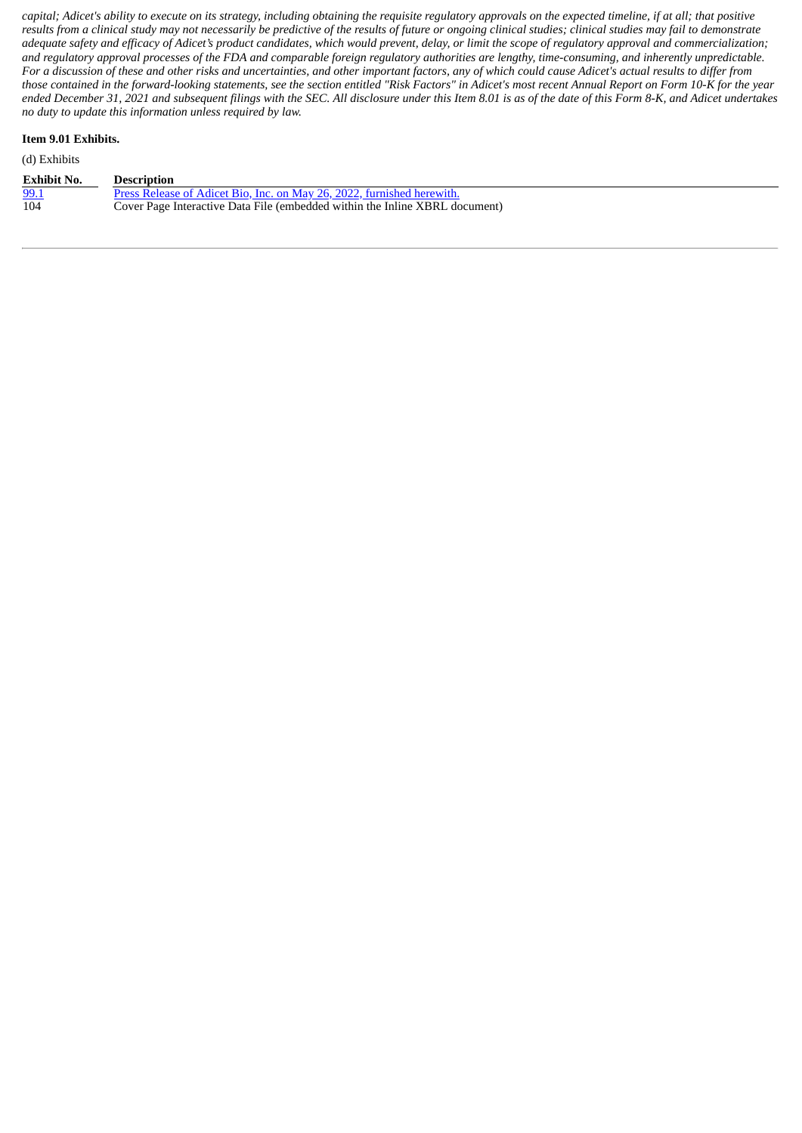capital; Adicet's ability to execute on its strategy, including obtaining the requisite regulatory approvals on the expected timeline, if at all; that positive results from a clinical study may not necessarily be predictive of the results of future or ongoing clinical studies; clinical studies may fail to demonstrate adequate safety and efficacy of Adicet's product candidates, which would prevent, delay, or limit the scope of regulatory approval and commercialization; and regulatory approval processes of the FDA and comparable foreign regulatory authorities are lengthy, time-consuming, and inherently unpredictable. For a discussion of these and other risks and uncertainties, and other important factors, any of which could cause Adicet's actual results to differ from those contained in the forward-looking statements, see the section entitled "Risk Factors" in Adicet's most recent Annual Report on Form 10-K for the year ended December 31, 2021 and subsequent filings with the SEC. All disclosure under this Item 8.01 is as of the date of this Form 8-K, and Adicet undertakes *no duty to update this information unless required by law.*

#### **Item 9.01 Exhibits.**

| <b>Exhibit No.</b> | <b>Description</b>                                                          |
|--------------------|-----------------------------------------------------------------------------|
| 99.1               | Press Release of Adicet Bio, Inc. on May 26, 2022, furnished herewith.      |
| 104                | Cover Page Interactive Data File (embedded within the Inline XBRL document) |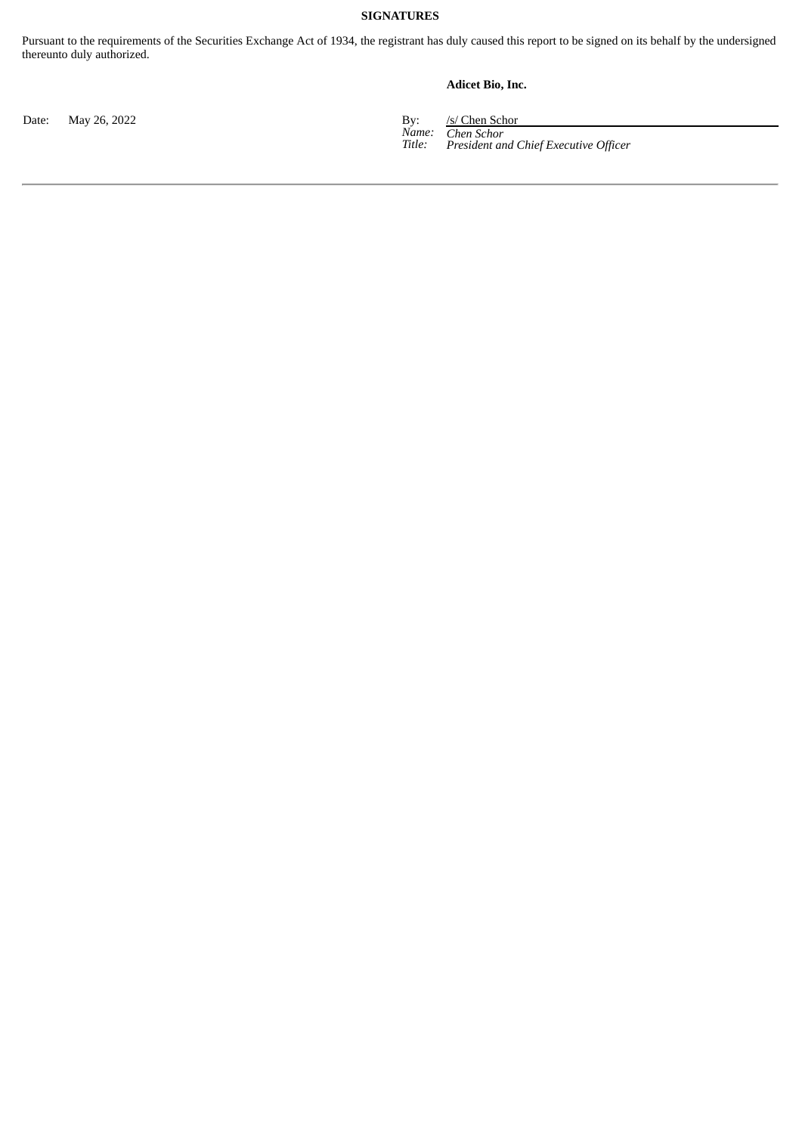#### **SIGNATURES**

Pursuant to the requirements of the Securities Exchange Act of 1934, the registrant has duly caused this report to be signed on its behalf by the undersigned thereunto duly authorized.

#### **Adicet Bio, Inc.**

Date: May 26, 2022 By: /s/ Chen Schor

*Name: Title: Chen Schor President and Chief Executive Officer*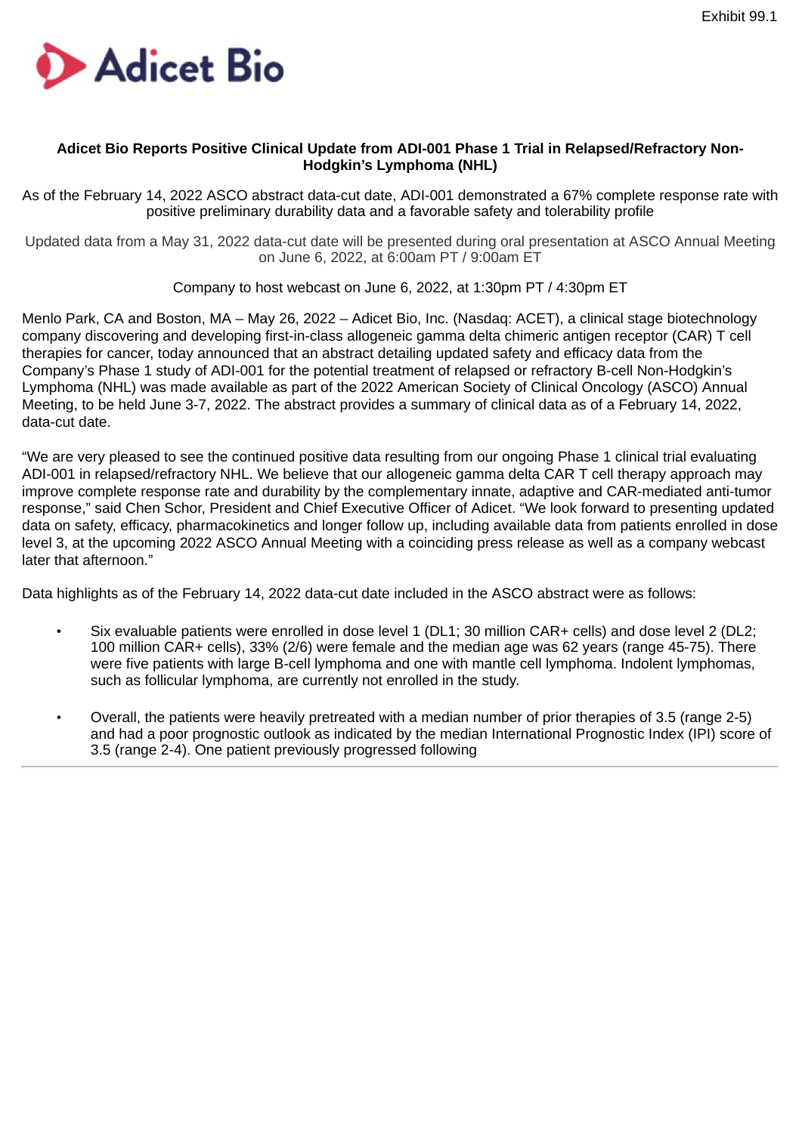<span id="page-4-0"></span>

## **Adicet Bio Reports Positive Clinical Update from ADI-001 Phase 1 Trial in Relapsed/Refractory Non-Hodgkin's Lymphoma (NHL)**

As of the February 14, 2022 ASCO abstract data-cut date, ADI-001 demonstrated a 67% complete response rate with positive preliminary durability data and a favorable safety and tolerability profile

Updated data from a May 31, 2022 data-cut date will be presented during oral presentation at ASCO Annual Meeting on June 6, 2022, at 6:00am PT / 9:00am ET

Company to host webcast on June 6, 2022, at 1:30pm PT / 4:30pm ET

Menlo Park, CA and Boston, MA – May 26, 2022 – Adicet Bio, Inc. (Nasdaq: ACET), a clinical stage biotechnology company discovering and developing first-in-class allogeneic gamma delta chimeric antigen receptor (CAR) T cell therapies for cancer, today announced that an abstract detailing updated safety and efficacy data from the Company's Phase 1 study of ADI-001 for the potential treatment of relapsed or refractory B-cell Non-Hodgkin's Lymphoma (NHL) was made available as part of the 2022 American Society of Clinical Oncology (ASCO) Annual Meeting, to be held June 3-7, 2022. The abstract provides a summary of clinical data as of a February 14, 2022, data-cut date.

"We are very pleased to see the continued positive data resulting from our ongoing Phase 1 clinical trial evaluating ADI-001 in relapsed/refractory NHL. We believe that our allogeneic gamma delta CAR T cell therapy approach may improve complete response rate and durability by the complementary innate, adaptive and CAR-mediated anti-tumor response," said Chen Schor, President and Chief Executive Officer of Adicet. "We look forward to presenting updated data on safety, efficacy, pharmacokinetics and longer follow up, including available data from patients enrolled in dose level 3, at the upcoming 2022 ASCO Annual Meeting with a coinciding press release as well as a company webcast later that afternoon."

Data highlights as of the February 14, 2022 data-cut date included in the ASCO abstract were as follows:

- Six evaluable patients were enrolled in dose level 1 (DL1; 30 million CAR+ cells) and dose level 2 (DL2; 100 million CAR+ cells), 33% (2/6) were female and the median age was 62 years (range 45-75). There were five patients with large B-cell lymphoma and one with mantle cell lymphoma. Indolent lymphomas, such as follicular lymphoma, are currently not enrolled in the study.
- Overall, the patients were heavily pretreated with a median number of prior therapies of 3.5 (range 2-5) and had a poor prognostic outlook as indicated by the median International Prognostic Index (IPI) score of 3.5 (range 2-4). One patient previously progressed following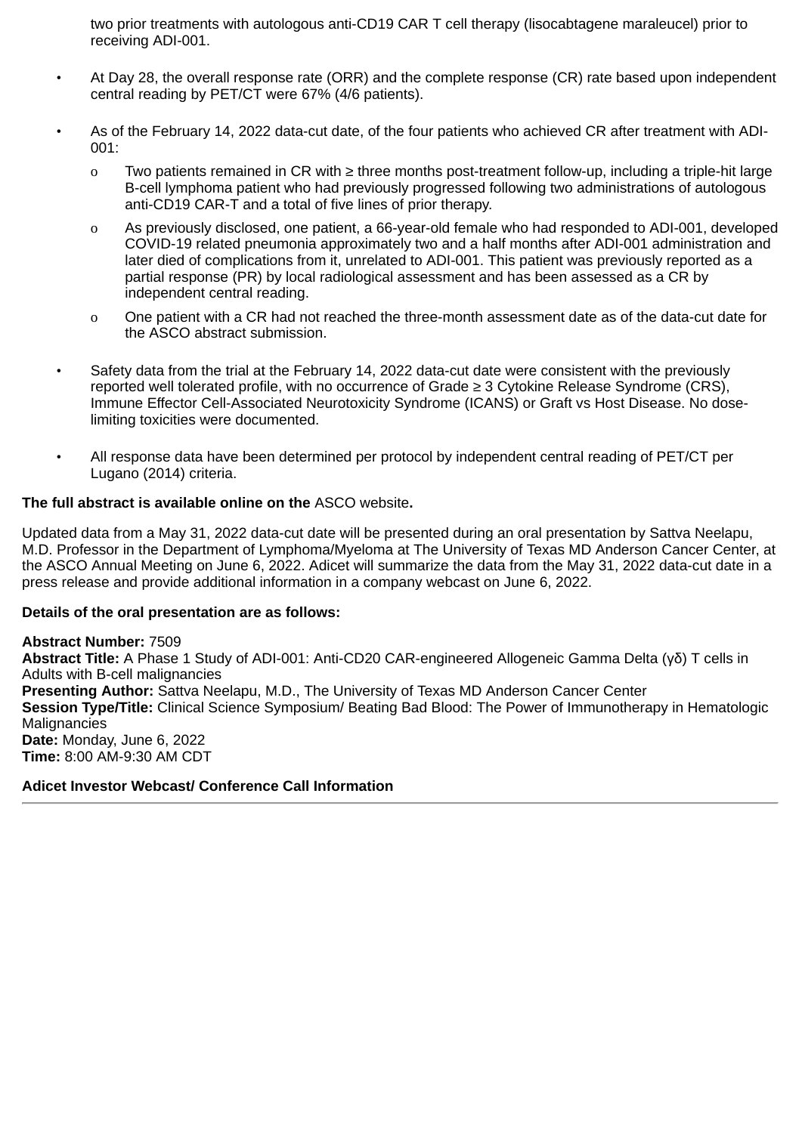two prior treatments with autologous anti-CD19 CAR T cell therapy (lisocabtagene maraleucel) prior to receiving ADI-001.

- At Day 28, the overall response rate (ORR) and the complete response (CR) rate based upon independent central reading by PET/CT were 67% (4/6 patients).
- As of the February 14, 2022 data-cut date, of the four patients who achieved CR after treatment with ADI-001:
	- o Two patients remained in CR with ≥ three months post-treatment follow-up, including a triple-hit large B-cell lymphoma patient who had previously progressed following two administrations of autologous anti-CD19 CAR-T and a total of five lines of prior therapy.
	- o As previously disclosed, one patient, a 66-year-old female who had responded to ADI-001, developed COVID-19 related pneumonia approximately two and a half months after ADI-001 administration and later died of complications from it, unrelated to ADI-001. This patient was previously reported as a partial response (PR) by local radiological assessment and has been assessed as a CR by independent central reading.
	- o One patient with a CR had not reached the three-month assessment date as of the data-cut date for the ASCO abstract submission.
- Safety data from the trial at the February 14, 2022 data-cut date were consistent with the previously reported well tolerated profile, with no occurrence of Grade ≥ 3 Cytokine Release Syndrome (CRS), Immune Effector Cell-Associated Neurotoxicity Syndrome (ICANS) or Graft vs Host Disease. No doselimiting toxicities were documented.
- All response data have been determined per protocol by independent central reading of PET/CT per Lugano (2014) criteria.

## **The full abstract is available online on the** ASCO website**.**

Updated data from a May 31, 2022 data-cut date will be presented during an oral presentation by Sattva Neelapu, M.D. Professor in the Department of Lymphoma/Myeloma at The University of Texas MD Anderson Cancer Center, at the ASCO Annual Meeting on June 6, 2022. Adicet will summarize the data from the May 31, 2022 data-cut date in a press release and provide additional information in a company webcast on June 6, 2022.

#### **Details of the oral presentation are as follows:**

**Abstract Number:** 7509 **Abstract Title:** A Phase 1 Study of ADI-001: Anti-CD20 CAR-engineered Allogeneic Gamma Delta (γδ) T cells in Adults with B-cell malignancies **Presenting Author:** Sattva Neelapu, M.D., The University of Texas MD Anderson Cancer Center **Session Type/Title:** Clinical Science Symposium/ Beating Bad Blood: The Power of Immunotherapy in Hematologic Malignancies **Date:** Monday, June 6, 2022 **Time:** 8:00 AM-9:30 AM CDT

## **Adicet Investor Webcast/ Conference Call Information**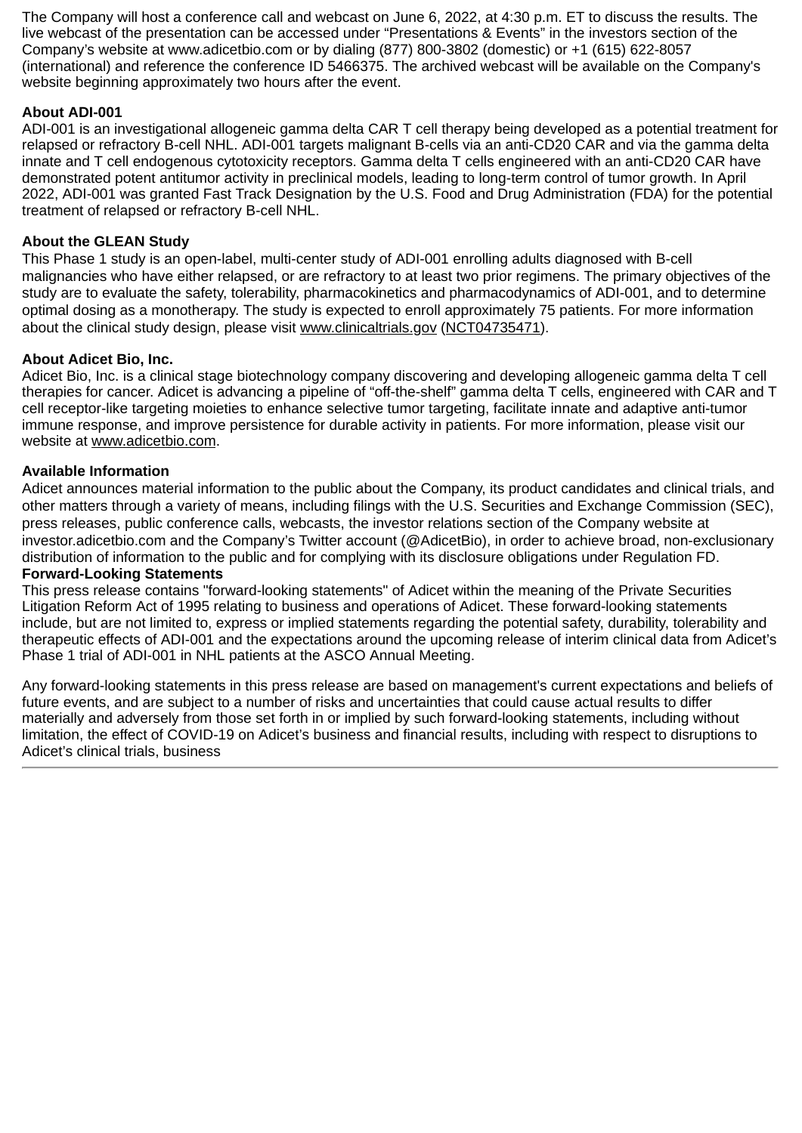The Company will host a conference call and webcast on June 6, 2022, at 4:30 p.m. ET to discuss the results. The live webcast of the presentation can be accessed under "Presentations & Events" in the investors section of the Company's website at www.adicetbio.com or by dialing (877) 800-3802 (domestic) or +1 (615) 622-8057 (international) and reference the conference ID 5466375. The archived webcast will be available on the Company's website beginning approximately two hours after the event.

## **About ADI-001**

ADI-001 is an investigational allogeneic gamma delta CAR T cell therapy being developed as a potential treatment for relapsed or refractory B-cell NHL. ADI-001 targets malignant B-cells via an anti-CD20 CAR and via the gamma delta innate and T cell endogenous cytotoxicity receptors. Gamma delta T cells engineered with an anti-CD20 CAR have demonstrated potent antitumor activity in preclinical models, leading to long-term control of tumor growth. In April 2022, ADI-001 was granted Fast Track Designation by the U.S. Food and Drug Administration (FDA) for the potential treatment of relapsed or refractory B-cell NHL.

## **About the GLEAN Study**

This Phase 1 study is an open-label, multi-center study of ADI-001 enrolling adults diagnosed with B-cell malignancies who have either relapsed, or are refractory to at least two prior regimens. The primary objectives of the study are to evaluate the safety, tolerability, pharmacokinetics and pharmacodynamics of ADI-001, and to determine optimal dosing as a monotherapy. The study is expected to enroll approximately 75 patients. For more information about the clinical study design, please visit www.clinicaltrials.gov (NCT04735471).

## **About Adicet Bio, Inc.**

Adicet Bio, Inc. is a clinical stage biotechnology company discovering and developing allogeneic gamma delta T cell therapies for cancer. Adicet is advancing a pipeline of "off-the-shelf" gamma delta T cells, engineered with CAR and T cell receptor-like targeting moieties to enhance selective tumor targeting, facilitate innate and adaptive anti-tumor immune response, and improve persistence for durable activity in patients. For more information, please visit our website at www.adicetbio.com.

## **Available Information**

Adicet announces material information to the public about the Company, its product candidates and clinical trials, and other matters through a variety of means, including filings with the U.S. Securities and Exchange Commission (SEC), press releases, public conference calls, webcasts, the investor relations section of the Company website at investor.adicetbio.com and the Company's Twitter account (@AdicetBio), in order to achieve broad, non-exclusionary distribution of information to the public and for complying with its disclosure obligations under Regulation FD. **Forward-Looking Statements**

This press release contains "forward-looking statements" of Adicet within the meaning of the Private Securities Litigation Reform Act of 1995 relating to business and operations of Adicet. These forward-looking statements include, but are not limited to, express or implied statements regarding the potential safety, durability, tolerability and therapeutic effects of ADI-001 and the expectations around the upcoming release of interim clinical data from Adicet's Phase 1 trial of ADI-001 in NHL patients at the ASCO Annual Meeting.

Any forward-looking statements in this press release are based on management's current expectations and beliefs of future events, and are subject to a number of risks and uncertainties that could cause actual results to differ materially and adversely from those set forth in or implied by such forward-looking statements, including without limitation, the effect of COVID-19 on Adicet's business and financial results, including with respect to disruptions to Adicet's clinical trials, business